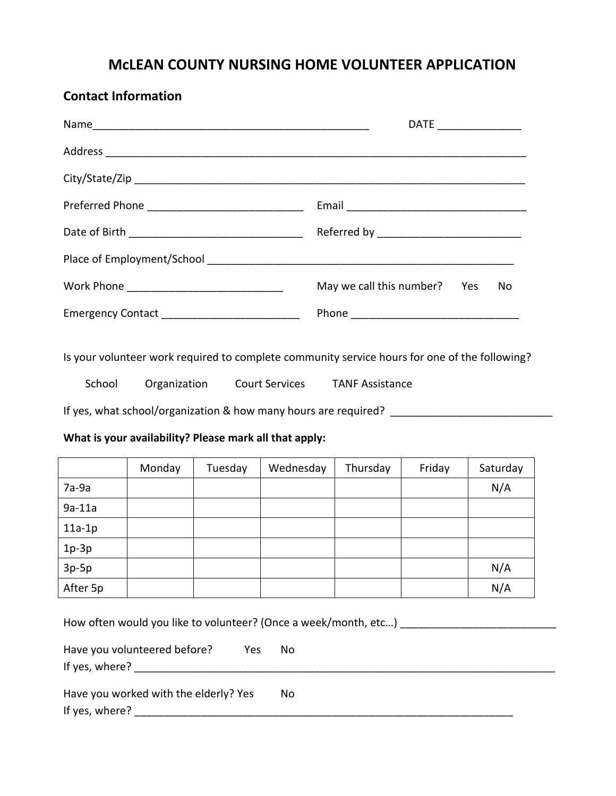## **McLEAN COUNTY NURSING HOME VOLUNTEER APPLICATION**

|                                                  | $\mathsf{DATE} \_\_\_\_\_\_\_\_\_\_\_\_\_\_\_\_\_\_\_\_\_\_\_\_\_\_\_$ |
|--------------------------------------------------|------------------------------------------------------------------------|
|                                                  |                                                                        |
|                                                  |                                                                        |
|                                                  |                                                                        |
|                                                  |                                                                        |
|                                                  |                                                                        |
|                                                  | May we call this number? Yes<br>No                                     |
| Emergency Contact ______________________________ |                                                                        |

Is your volunteer work required to complete community service hours for one of the following?

| School<br>Organization |  | <b>Court Services</b> | <b>TANF Assistance</b> |
|------------------------|--|-----------------------|------------------------|
|                        |  |                       |                        |

If yes, what school/organization & how many hours are required? \_\_\_\_\_\_\_\_\_\_\_\_\_\_\_\_\_\_\_\_\_\_\_\_\_\_\_

## **What is your availability? Please mark all that apply:**

**Contact Information**

|          | Monday | Tuesday | Wednesday | Thursday | Friday | Saturday |
|----------|--------|---------|-----------|----------|--------|----------|
| 7a-9a    |        |         |           |          |        | N/A      |
| $9a-11a$ |        |         |           |          |        |          |
| $11a-1p$ |        |         |           |          |        |          |
| $1p-3p$  |        |         |           |          |        |          |
| $3p-5p$  |        |         |           |          |        | N/A      |
| After 5p |        |         |           |          |        | N/A      |

How often would you like to volunteer? (Once a week/month, etc…) \_\_\_\_\_\_\_\_\_\_\_\_\_\_\_\_\_\_\_\_\_\_\_\_\_\_

| Have you volunteered before?<br>Yes   | Nο |
|---------------------------------------|----|
| If yes, where?                        |    |
|                                       |    |
| Have you worked with the elderly? Yes | Nο |
| If yes, where?                        |    |